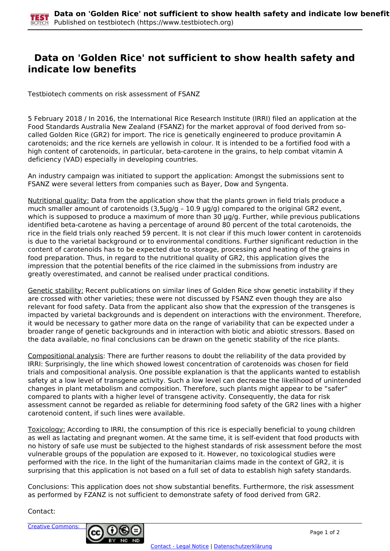

## **Data on 'Golden Rice' not sufficient to show health safety and indicate low benefits**

Testbiotech comments on risk assessment of FSANZ

5 February 2018 / In 2016, the International Rice Research Institute (IRRI) filed an application at the Food Standards Australia New Zealand (FSANZ) for the market approval of food derived from socalled Golden Rice (GR2) for import. The rice is genetically engineered to produce provitamin A carotenoids; and the rice kernels are yellowish in colour. It is intended to be a fortified food with a high content of carotenoids, in particular, beta-carotene in the grains, to help combat vitamin A deficiency (VAD) especially in developing countries.

An industry campaign was initiated to support the application: Amongst the submissions sent to FSANZ were several letters from companies such as Bayer, Dow and Syngenta.

Nutritional quality: Data from the application show that the plants grown in field trials produce a much smaller amount of carotenoids (3,5µg/g - 10.9 µg/g) compared to the original GR2 event, which is supposed to produce a maximum of more than 30  $\mu$ g/g. Further, while previous publications identified beta-carotene as having a percentage of around 80 percent of the total carotenoids, the rice in the field trials only reached 59 percent. It is not clear if this much lower content in carotenoids is due to the varietal background or to environmental conditions. Further significant reduction in the content of carotenoids has to be expected due to storage, processing and heating of the grains in food preparation. Thus, in regard to the nutritional quality of GR2, this application gives the impression that the potential benefits of the rice claimed in the submissions from industry are greatly overestimated, and cannot be realised under practical conditions.

Genetic stability: Recent publications on similar lines of Golden Rice show genetic instability if they are crossed with other varieties; these were not discussed by FSANZ even though they are also relevant for food safety. Data from the applicant also show that the expression of the transgenes is impacted by varietal backgrounds and is dependent on interactions with the environment. Therefore, it would be necessary to gather more data on the range of variability that can be expected under a broader range of genetic backgrounds and in interaction with biotic and abiotic stressors. Based on the data available, no final conclusions can be drawn on the genetic stability of the rice plants.

Compositional analysis: There are further reasons to doubt the reliability of the data provided by IRRI: Surprisingly, the line which showed lowest concentration of carotenoids was chosen for field trials and compositional analysis. One possible explanation is that the applicants wanted to establish safety at a low level of transgene activity. Such a low level can decrease the likelihood of unintended changes in plant metabolism and composition. Therefore, such plants might appear to be "safer" compared to plants with a higher level of transgene activity. Consequently, the data for risk assessment cannot be regarded as reliable for determining food safety of the GR2 lines with a higher carotenoid content, if such lines were available.

Toxicology: According to IRRI, the consumption of this rice is especially beneficial to young children as well as lactating and pregnant women. At the same time, it is self-evident that food products with no history of safe use must be subjected to the highest standards of risk assessment before the most vulnerable groups of the population are exposed to it. However, no toxicological studies were performed with the rice. In the light of the humanitarian claims made in the context of GR2, it is surprising that this application is not based on a full set of data to establish high safety standards.

Conclusions: This application does not show substantial benefits. Furthermore, the risk assessment as performed by FZANZ is not sufficient to demonstrate safety of food derived from GR2.

Contact: